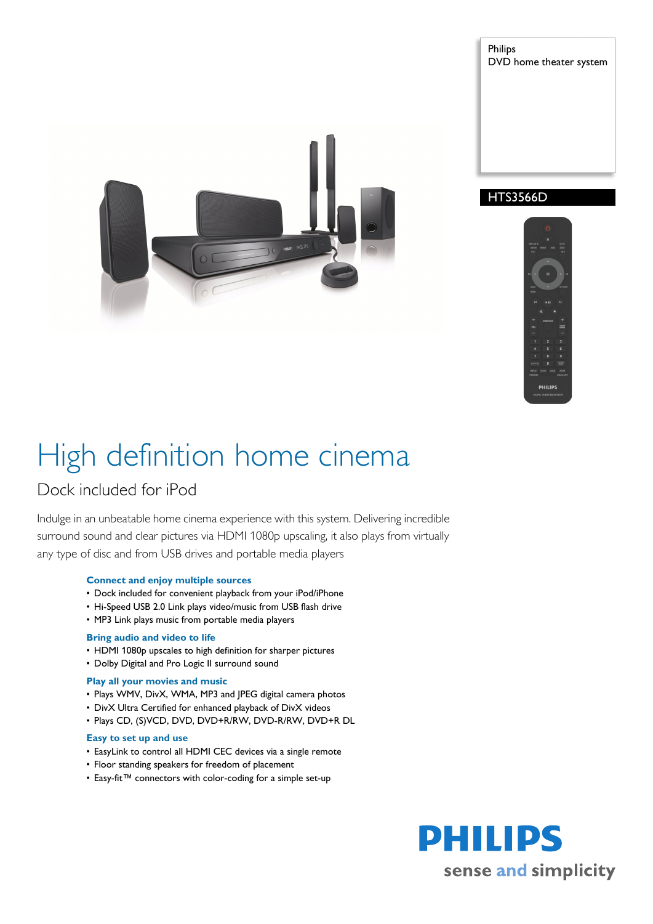

Philips DVD home theater system

# HTS3566D



# High definition home cinema

# Dock included for iPod

Indulge in an unbeatable home cinema experience with this system. Delivering incredible surround sound and clear pictures via HDMI 1080p upscaling, it also plays from virtually any type of disc and from USB drives and portable media players

# **Connect and enjoy multiple sources**

- Dock included for convenient playback from your iPod/iPhone
- Hi-Speed USB 2.0 Link plays video/music from USB flash drive
- MP3 Link plays music from portable media players

# **Bring audio and video to life**

- HDMI 1080p upscales to high definition for sharper pictures
- Dolby Digital and Pro Logic II surround sound

# **Play all your movies and music**

- Plays WMV, DivX, WMA, MP3 and JPEG digital camera photos
- DivX Ultra Certified for enhanced playback of DivX videos
- Plays CD, (S)VCD, DVD, DVD+R/RW, DVD-R/RW, DVD+R DL

# **Easy to set up and use**

- EasyLink to control all HDMI CEC devices via a single remote
- Floor standing speakers for freedom of placement
- Easy-fit™ connectors with color-coding for a simple set-up

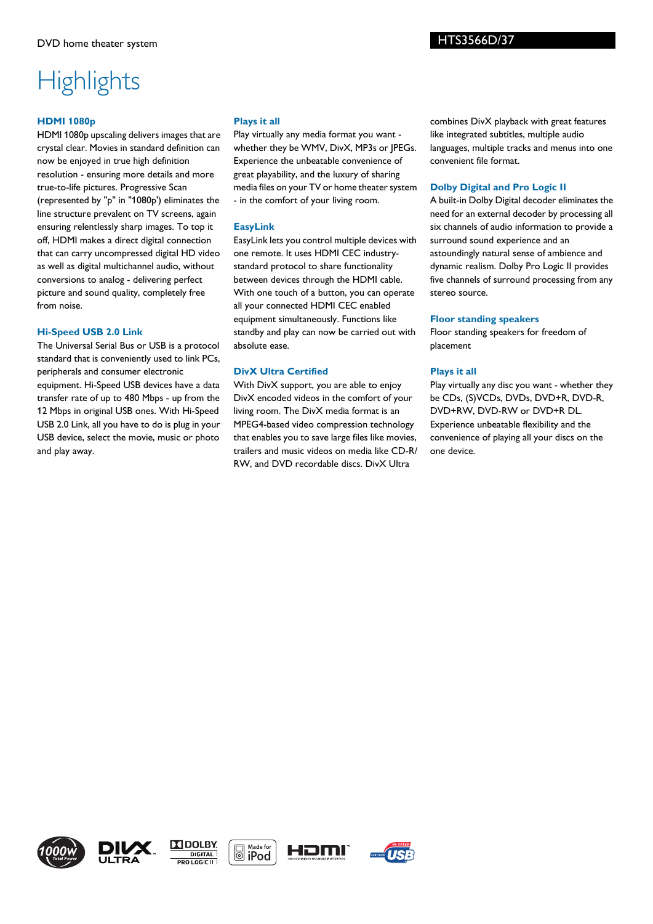# **Highlights**

# **HDMI 1080p**

HDMI 1080p upscaling delivers images that are crystal clear. Movies in standard definition can now be enjoyed in true high definition resolution - ensuring more details and more true-to-life pictures. Progressive Scan (represented by "p" in "1080p') eliminates the line structure prevalent on TV screens, again ensuring relentlessly sharp images. To top it off, HDMI makes a direct digital connection that can carry uncompressed digital HD video as well as digital multichannel audio, without conversions to analog - delivering perfect picture and sound quality, completely free from noise.

### **Hi-Speed USB 2.0 Link**

The Universal Serial Bus or USB is a protocol standard that is conveniently used to link PCs, peripherals and consumer electronic equipment. Hi-Speed USB devices have a data transfer rate of up to 480 Mbps - up from the 12 Mbps in original USB ones. With Hi-Speed USB 2.0 Link, all you have to do is plug in your USB device, select the movie, music or photo and play away.

# **Plays it all**

Play virtually any media format you want whether they be WMV, DivX, MP3s or JPEGs. Experience the unbeatable convenience of great playability, and the luxury of sharing media files on your TV or home theater system - in the comfort of your living room.

# **EasyLink**

EasyLink lets you control multiple devices with one remote. It uses HDMI CEC industrystandard protocol to share functionality between devices through the HDMI cable. With one touch of a button, you can operate all your connected HDMI CEC enabled equipment simultaneously. Functions like standby and play can now be carried out with absolute ease.

# **DivX Ultra Certified**

With DivX support, you are able to enjoy DivX encoded videos in the comfort of your living room. The DivX media format is an MPEG4-based video compression technology that enables you to save large files like movies, trailers and music videos on media like CD-R/ RW, and DVD recordable discs. DivX Ultra

combines DivX playback with great features like integrated subtitles, multiple audio languages, multiple tracks and menus into one convenient file format.

# **Dolby Digital and Pro Logic II**

A built-in Dolby Digital decoder eliminates the need for an external decoder by processing all six channels of audio information to provide a surround sound experience and an astoundingly natural sense of ambience and dynamic realism. Dolby Pro Logic II provides five channels of surround processing from any stereo source.

### **Floor standing speakers**

Floor standing speakers for freedom of placement

# **Plays it all**

Play virtually any disc you want - whether they be CDs, (S)VCDs, DVDs, DVD+R, DVD-R, DVD+RW, DVD-RW or DVD+R DL. Experience unbeatable flexibility and the convenience of playing all your discs on the one device.